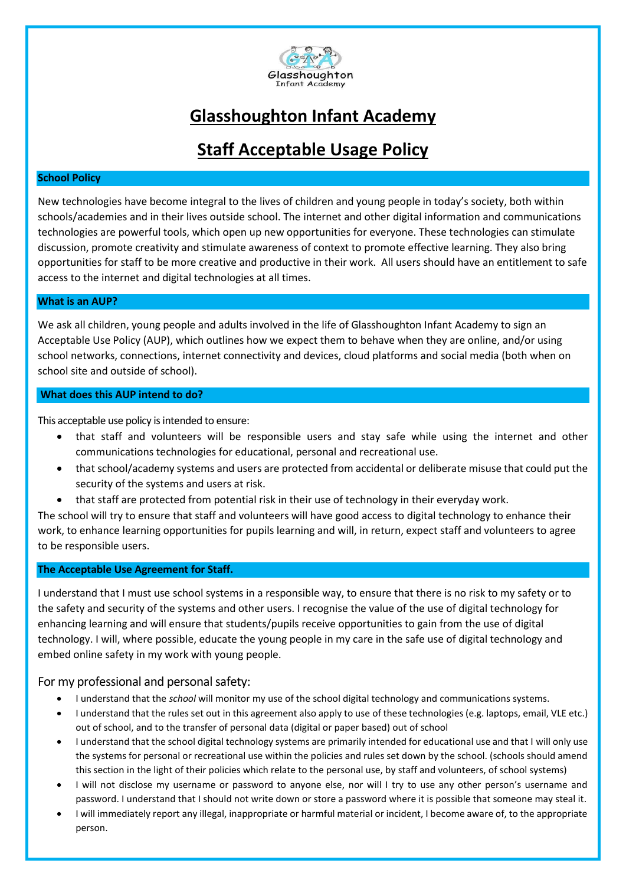

# **Glasshoughton Infant Academy**

# **Staff Acceptable Usage Policy**

### **School Policy**

New technologies have become integral to the lives of children and young people in today's society, both within schools/academies and in their lives outside school. The internet and other digital information and communications technologies are powerful tools, which open up new opportunities for everyone. These technologies can stimulate discussion, promote creativity and stimulate awareness of context to promote effective learning. They also bring opportunities for staff to be more creative and productive in their work. All users should have an entitlement to safe access to the internet and digital technologies at all times.

#### **What is an AUP?**

We ask all children, young people and adults involved in the life of Glasshoughton Infant Academy to sign an Acceptable Use Policy (AUP), which outlines how we expect them to behave when they are online, and/or using school networks, connections, internet connectivity and devices, cloud platforms and social media (both when on school site and outside of school).

### **What does this AUP intend to do?**

This acceptable use policy is intended to ensure:

- that staff and volunteers will be responsible users and stay safe while using the internet and other communications technologies for educational, personal and recreational use.
- that school/academy systems and users are protected from accidental or deliberate misuse that could put the security of the systems and users at risk.
- that staff are protected from potential risk in their use of technology in their everyday work.

The school will try to ensure that staff and volunteers will have good access to digital technology to enhance their work, to enhance learning opportunities for pupils learning and will, in return, expect staff and volunteers to agree to be responsible users.

#### **The Acceptable Use Agreement for Staff.**

I understand that I must use school systems in a responsible way, to ensure that there is no risk to my safety or to the safety and security of the systems and other users. I recognise the value of the use of digital technology for enhancing learning and will ensure that students/pupils receive opportunities to gain from the use of digital technology. I will, where possible, educate the young people in my care in the safe use of digital technology and embed online safety in my work with young people.

### For my professional and personal safety:

- I understand that the *school* will monitor my use of the school digital technology and communications systems.
- I understand that the rules set out in this agreement also apply to use of these technologies (e.g. laptops, email, VLE etc.) out of school, and to the transfer of personal data (digital or paper based) out of school
- I understand that the school digital technology systems are primarily intended for educational use and that I will only use the systems for personal or recreational use within the policies and rules set down by the school. (schools should amend this section in the light of their policies which relate to the personal use, by staff and volunteers, of school systems)
- I will not disclose my username or password to anyone else, nor will I try to use any other person's username and password. I understand that I should not write down or store a password where it is possible that someone may steal it.
- I will immediately report any illegal, inappropriate or harmful material or incident, I become aware of, to the appropriate person.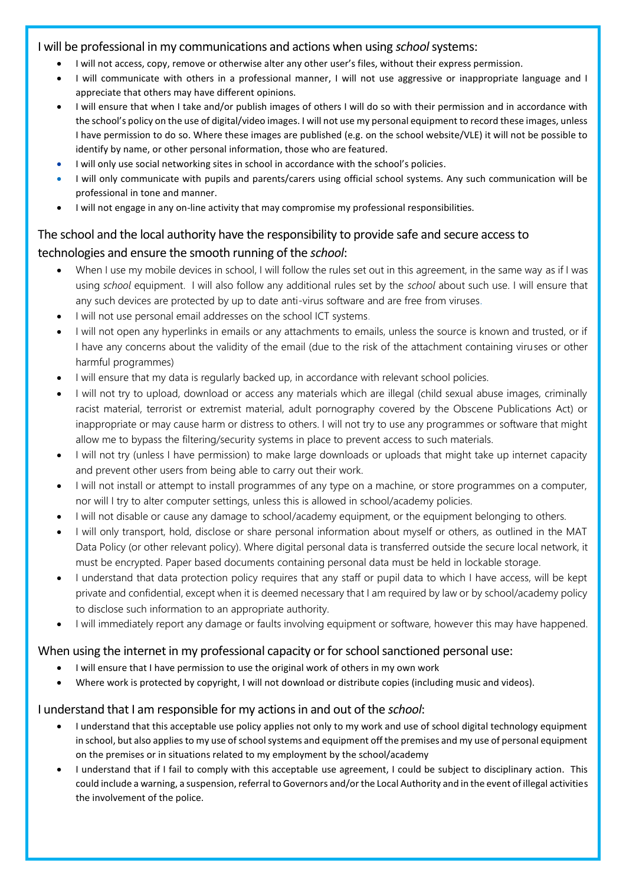### I will be professional in my communications and actions when using *school*systems:

- I will not access, copy, remove or otherwise alter any other user's files, without their express permission.
- I will communicate with others in a professional manner, I will not use aggressive or inappropriate language and I appreciate that others may have different opinions.
- I will ensure that when I take and/or publish images of others I will do so with their permission and in accordance with the school's policy on the use of digital/video images. I will not use my personal equipment to record these images, unless I have permission to do so. Where these images are published (e.g. on the school website/VLE) it will not be possible to identify by name, or other personal information, those who are featured.
- I will only use social networking sites in school in accordance with the school's policies.
- I will only communicate with pupils and parents/carers using official school systems. Any such communication will be professional in tone and manner.
- I will not engage in any on-line activity that may compromise my professional responsibilities.

# The school and the local authority have the responsibility to provide safe and secure access to technologies and ensure the smooth running of the *school*:

- When I use my mobile devices in school, I will follow the rules set out in this agreement, in the same way as if I was using *school* equipment. I will also follow any additional rules set by the *school* about such use. I will ensure that any such devices are protected by up to date anti-virus software and are free from viruses.
- I will not use personal email addresses on the school ICT systems.
- I will not open any hyperlinks in emails or any attachments to emails, unless the source is known and trusted, or if I have any concerns about the validity of the email (due to the risk of the attachment containing viruses or other harmful programmes)
- I will ensure that my data is regularly backed up, in accordance with relevant school policies.
- I will not try to upload, download or access any materials which are illegal (child sexual abuse images, criminally racist material, terrorist or extremist material, adult pornography covered by the Obscene Publications Act) or inappropriate or may cause harm or distress to others. I will not try to use any programmes or software that might allow me to bypass the filtering/security systems in place to prevent access to such materials.
- I will not try (unless I have permission) to make large downloads or uploads that might take up internet capacity and prevent other users from being able to carry out their work.
- I will not install or attempt to install programmes of any type on a machine, or store programmes on a computer, nor will I try to alter computer settings, unless this is allowed in school/academy policies.
- I will not disable or cause any damage to school/academy equipment, or the equipment belonging to others.
- I will only transport, hold, disclose or share personal information about myself or others, as outlined in the MAT Data Policy (or other relevant policy). Where digital personal data is transferred outside the secure local network, it must be encrypted. Paper based documents containing personal data must be held in lockable storage.
- I understand that data protection policy requires that any staff or pupil data to which I have access, will be kept private and confidential, except when it is deemed necessary that I am required by law or by school/academy policy to disclose such information to an appropriate authority.
- I will immediately report any damage or faults involving equipment or software, however this may have happened.

### When using the internet in my professional capacity or for school sanctioned personal use:

- I will ensure that I have permission to use the original work of others in my own work
- Where work is protected by copyright, I will not download or distribute copies (including music and videos).

## I understand that I am responsible for my actions in and out of the *school*:

- I understand that this acceptable use policy applies not only to my work and use of school digital technology equipment in school, but also applies to my use of school systems and equipment off the premises and my use of personal equipment on the premises or in situations related to my employment by the school/academy
- I understand that if I fail to comply with this acceptable use agreement, I could be subject to disciplinary action. This could include a warning, a suspension, referral to Governors and/or the Local Authority and in the event of illegal activities the involvement of the police.